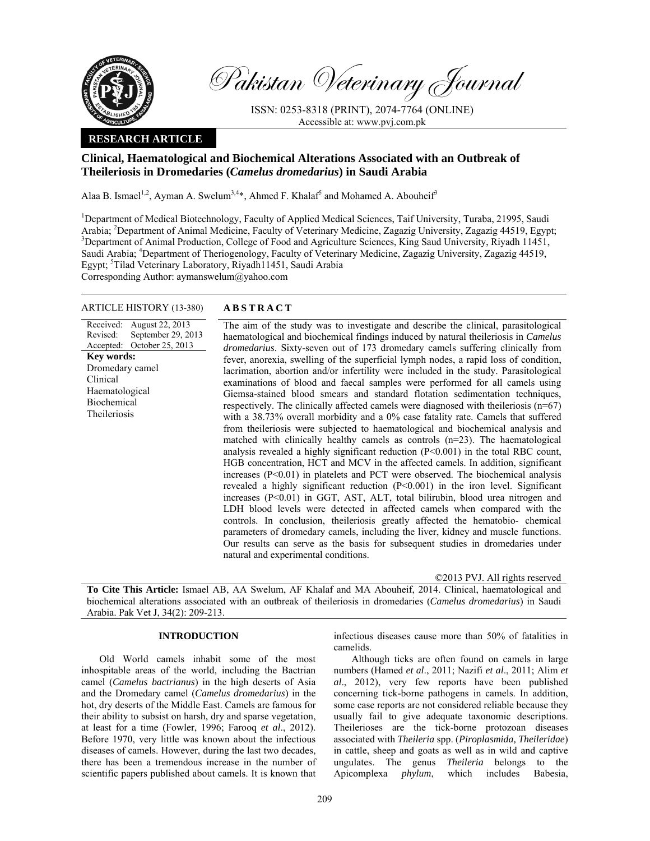

Pakistan Veterinary Journal

ISSN: 0253-8318 (PRINT), 2074-7764 (ONLINE) Accessible at: www.pvj.com.pk

## **RESEARCH ARTICLE**

# **Clinical, Haematological and Biochemical Alterations Associated with an Outbreak of Theileriosis in Dromedaries (***Camelus dromedarius***) in Saudi Arabia**

Alaa B. Ismael<sup>1,2</sup>, Ayman A. Swelum<sup>3,4\*</sup>, Ahmed F. Khalaf<sup>5</sup> and Mohamed A. Abouheif<sup>3</sup>

<sup>1</sup>Department of Medical Biotechnology, Faculty of Applied Medical Sciences, Taif University, Turaba, 21995, Saudi Arabia; <sup>2</sup>Department of Animal Medicine, Faculty of Veterinary Medicine, Zagazig University, Zagazig 44519, Egypt;<br><sup>3</sup>Department of Animal Production, Callage of Food and Acripulture Seignace, King Soud University, Bivedh <sup>3</sup>Department of Animal Production, College of Food and Agriculture Sciences, King Saud University, Riyadh 11451, Saudi Arabia; <sup>4</sup>Department of Theriogenology, Faculty of Veterinary Medicine, Zagazig University, Zagazig 44519, Egypt; <sup>5</sup>Tilad Veterinary Laboratory, Riyadh11451, Saudi Arabia Corresponding Author: aymanswelum@yahoo.com

#### ARTICLE HISTORY (13-380) **ABSTRACT**

Received: Revised: Accepted: August 22, 2013 September 29, 2013 October 25, 2013 **Key words:**  Dromedary camel Clinical Haematological Biochemical Theileriosis

 The aim of the study was to investigate and describe the clinical, parasitological haematological and biochemical findings induced by natural theileriosis in *Camelus dromedarius*. Sixty-seven out of 173 dromedary camels suffering clinically from fever, anorexia, swelling of the superficial lymph nodes, a rapid loss of condition, lacrimation, abortion and/or infertility were included in the study. Parasitological examinations of blood and faecal samples were performed for all camels using Giemsa-stained blood smears and standard flotation sedimentation techniques, respectively. The clinically affected camels were diagnosed with theileriosis (n=67) with a 38.73% overall morbidity and a 0% case fatality rate. Camels that suffered from theileriosis were subjected to haematological and biochemical analysis and matched with clinically healthy camels as controls  $(n=23)$ . The haematological analysis revealed a highly significant reduction (P<0.001) in the total RBC count, HGB concentration, HCT and MCV in the affected camels. In addition, significant increases (P<0.01) in platelets and PCT were observed. The biochemical analysis revealed a highly significant reduction (P<0.001) in the iron level. Significant increases (P<0.01) in GGT, AST, ALT, total bilirubin, blood urea nitrogen and LDH blood levels were detected in affected camels when compared with the controls. In conclusion, theileriosis greatly affected the hematobio- chemical parameters of dromedary camels, including the liver, kidney and muscle functions. Our results can serve as the basis for subsequent studies in dromedaries under natural and experimental conditions.

©2013 PVJ. All rights reserved

**To Cite This Article:** Ismael AB, AA Swelum, AF Khalaf and MA Abouheif, 2014. Clinical, haematological and biochemical alterations associated with an outbreak of theileriosis in dromedaries (*Camelus dromedarius*) in Saudi Arabia. Pak Vet J, 34(2): 209-213.

### **INTRODUCTION**

Old World camels inhabit some of the most inhospitable areas of the world, including the Bactrian camel (*Camelus bactrianus*) in the high deserts of Asia and the Dromedary camel (*Camelus dromedarius*) in the hot, dry deserts of the Middle East. Camels are famous for their ability to subsist on harsh, dry and sparse vegetation, at least for a time (Fowler, 1996; Farooq *et al*., 2012). Before 1970, very little was known about the infectious diseases of camels. However, during the last two decades, there has been a tremendous increase in the number of scientific papers published about camels. It is known that

infectious diseases cause more than 50% of fatalities in camelids.

Although ticks are often found on camels in large numbers (Hamed *et al*., 2011; Nazifi *et al*., 2011; Alim *et al*., 2012), very few reports have been published concerning tick-borne pathogens in camels. In addition, some case reports are not considered reliable because they usually fail to give adequate taxonomic descriptions. Theilerioses are the tick-borne protozoan diseases associated with *Theileria* spp. (*Piroplasmida, Theileridae*) in cattle, sheep and goats as well as in wild and captive ungulates. The genus *Theileria* belongs to the Apicomplexa *phylum*, which includes Babesia,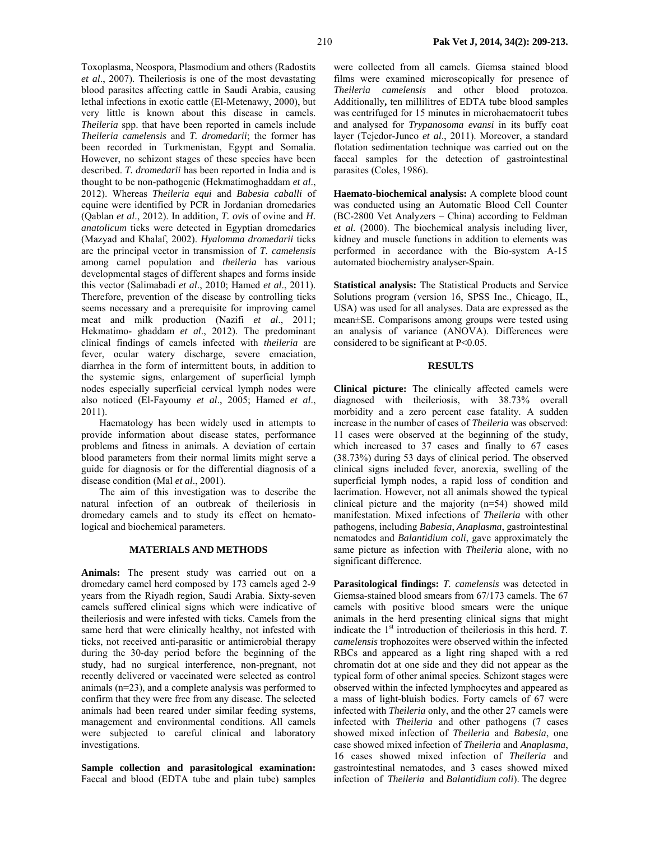Toxoplasma, Neospora, Plasmodium and others (Radostits *et al*., 2007). Theileriosis is one of the most devastating blood parasites affecting cattle in Saudi Arabia, causing lethal infections in exotic cattle (El-Metenawy, 2000), but very little is known about this disease in camels. *Theileria* spp. that have been reported in camels include *Theileria camelensis* and *T. dromedarii*; the former has been recorded in Turkmenistan, Egypt and Somalia. However, no schizont stages of these species have been described. *T. dromedarii* has been reported in India and is thought to be non-pathogenic (Hekmatimoghaddam *et al*., 2012). Whereas *Theileria equi* and *Babesia caballi* of equine were identified by PCR in Jordanian dromedaries (Qablan *et al*., 2012). In addition, *T. ovis* of ovine and *H. anatolicum* ticks were detected in Egyptian dromedaries (Mazyad and Khalaf, 2002). *Hyalomma dromedarii* ticks are the principal vector in transmission of *T. camelensis* among camel population and *theileria* has various developmental stages of different shapes and forms inside this vector (Salimabadi *et al*., 2010; Hamed *et al*., 2011). Therefore, prevention of the disease by controlling ticks seems necessary and a prerequisite for improving camel meat and milk production (Nazifi *et al*., 2011; Hekmatimo- ghaddam *et al*., 2012). The predominant clinical findings of camels infected with *theileria* are fever, ocular watery discharge, severe emaciation, diarrhea in the form of intermittent bouts, in addition to the systemic signs, enlargement of superficial lymph nodes especially superficial cervical lymph nodes were also noticed (El-Fayoumy *et al*., 2005; Hamed *et al*., 2011).

Haematology has been widely used in attempts to provide information about disease states, performance problems and fitness in animals. A deviation of certain blood parameters from their normal limits might serve a guide for diagnosis or for the differential diagnosis of a disease condition (Mal *et al*., 2001).

The aim of this investigation was to describe the natural infection of an outbreak of theileriosis in dromedary camels and to study its effect on hematological and biochemical parameters.

### **MATERIALS AND METHODS**

**Animals:** The present study was carried out on a dromedary camel herd composed by 173 camels aged 2-9 years from the Riyadh region, Saudi Arabia. Sixty-seven camels suffered clinical signs which were indicative of theileriosis and were infested with ticks. Camels from the same herd that were clinically healthy, not infested with ticks, not received anti-parasitic or antimicrobial therapy during the 30-day period before the beginning of the study, had no surgical interference, non-pregnant, not recently delivered or vaccinated were selected as control animals (n=23), and a complete analysis was performed to confirm that they were free from any disease. The selected animals had been reared under similar feeding systems, management and environmental conditions. All camels were subjected to careful clinical and laboratory investigations.

**Sample collection and parasitological examination:** Faecal and blood (EDTA tube and plain tube) samples

were collected from all camels. Giemsa stained blood films were examined microscopically for presence of *Theileria camelensis* and other blood protozoa. Additionally**,** ten millilitres of EDTA tube blood samples was centrifuged for 15 minutes in microhaematocrit tubes and analysed for *Trypanosoma evansi* in its buffy coat layer (Tejedor-Junco *et al*., 2011). Moreover, a standard flotation sedimentation technique was carried out on the faecal samples for the detection of gastrointestinal parasites (Coles, 1986).

**Haemato-biochemical analysis:** A complete blood count was conducted using an Automatic Blood Cell Counter (BC-2800 Vet Analyzers – China) according to Feldman *et al.* (2000). The biochemical analysis including liver, kidney and muscle functions in addition to elements was performed in accordance with the Bio-system A-15 automated biochemistry analyser-Spain.

**Statistical analysis:** The Statistical Products and Service Solutions program (version 16, SPSS Inc., Chicago, IL, USA) was used for all analyses. Data are expressed as the mean±SE. Comparisons among groups were tested using an analysis of variance (ANOVA). Differences were considered to be significant at P<0.05.

### **RESULTS**

**Clinical picture:** The clinically affected camels were diagnosed with theileriosis, with 38.73% overall morbidity and a zero percent case fatality. A sudden increase in the number of cases of *Theileria* was observed: 11 cases were observed at the beginning of the study, which increased to 37 cases and finally to 67 cases (38.73%) during 53 days of clinical period. The observed clinical signs included fever, anorexia, swelling of the superficial lymph nodes, a rapid loss of condition and lacrimation. However, not all animals showed the typical clinical picture and the majority (n=54) showed mild manifestation. Mixed infections of *Theileria* with other pathogens, including *Babesia*, *Anaplasma*, gastrointestinal nematodes and *Balantidium coli*, gave approximately the same picture as infection with *Theileria* alone, with no significant difference.

**Parasitological findings:** *T. camelensis* was detected in Giemsa-stained blood smears from 67/173 camels. The 67 camels with positive blood smears were the unique animals in the herd presenting clinical signs that might indicate the  $1<sup>st</sup>$  introduction of the ileriosis in this herd. *T*. *camelensis* trophozoites were observed within the infected RBCs and appeared as a light ring shaped with a red chromatin dot at one side and they did not appear as the typical form of other animal species. Schizont stages were observed within the infected lymphocytes and appeared as a mass of light-bluish bodies. Forty camels of 67 were infected with *Theileria* only, and the other 27 camels were infected with *Theileria* and other pathogens (7 cases showed mixed infection of *Theileria* and *Babesia*, one case showed mixed infection of *Theileria* and *Anaplasma*, 16 cases showed mixed infection of *Theileria* and gastrointestinal nematodes, and 3 cases showed mixed infection of *Theileria* and *Balantidium coli*). The degree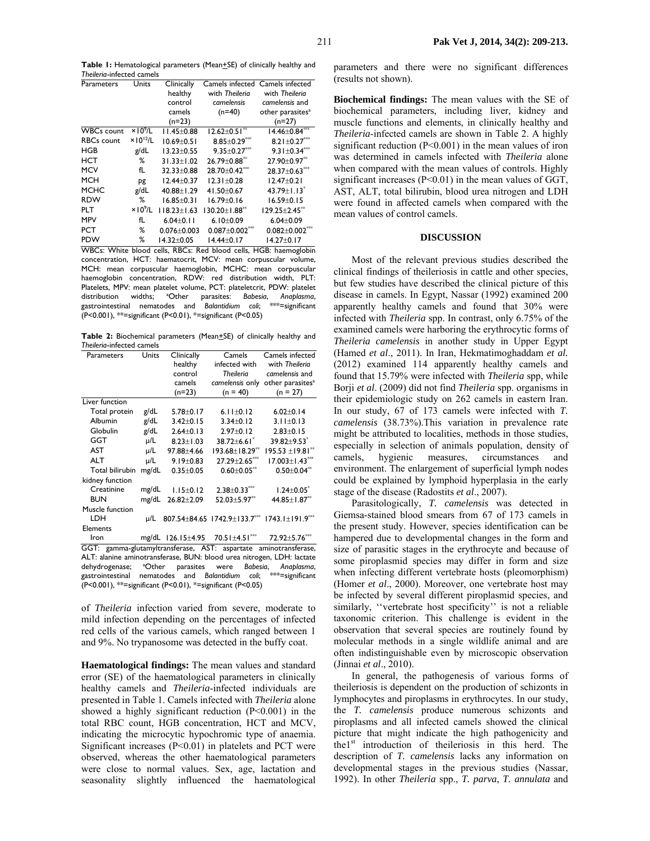Table 1: Hematological parameters (Mean<sup>+SE</sup>) of clinically healthy and *Theileria*-infected camels

| Parameters        | Units                         | Clinically        | Camels infected                | Camels infected                 |
|-------------------|-------------------------------|-------------------|--------------------------------|---------------------------------|
|                   |                               | healthy           | with Theileria                 | with Theileria                  |
|                   |                               | control           | camelensis                     | camelensis and                  |
|                   |                               | camels            | $(n=40)$                       | other parasites <sup>a</sup>    |
|                   |                               | $(n=23)$          |                                | $(n=27)$                        |
| <b>WBCs count</b> | $\times$ 10 <sup>9</sup> /L   | $11.45 + 0.88$    | $12.62 \pm 0.51$ **            | 14.46±0.84***                   |
| <b>RBCs count</b> | $\times$   0 <sup> 2</sup> /L | $10.69 \pm 0.51$  | $8.85 \pm 0.29***$             | 8.2 $\pm$ 0.27***               |
| <b>HGB</b>        | g/dL                          | $13.23 + 0.55$    | $9.35 \pm 0.27***$             | 9.3   $\pm$ 0.34 <sup>***</sup> |
| <b>HCT</b>        | %                             | $31.33 + 1.02$    | $26.79 \pm 0.88$ <sup>**</sup> | $27.90 \pm 0.97$ **             |
| <b>MCV</b>        | fL                            | $32.33 \pm 0.88$  | $28.70 + 0.42***$              | $28.37 \pm 0.63$ ***            |
| <b>MCH</b>        | Рg                            | $12.44 \pm 0.37$  | $12.31 \pm 0.28$               | $12.47 \pm 0.21$                |
| <b>MCHC</b>       | g/dL                          | 40.88±1.29        | 41.50±0.67                     | $43.79 \pm 1.13^*$              |
| <b>RDW</b>        | ℅                             | $16.85 \pm 0.31$  | $16.79 \pm 0.16$               | $16.59 \pm 0.15$                |
| <b>PLT</b>        | $\times 10^9$ /L              | $118.23 + 1.63$   | $130.20 + 1.88***$             | $129.25 \pm 2.45$ <sup>**</sup> |
| <b>MPV</b>        | fL                            | $6.04 \pm 0.11$   | $6.10 \pm 0.09$                | $6.04 \pm 0.09$                 |
| <b>PCT</b>        | ℅                             | $0.076 \pm 0.003$ | $0.087 \pm 0.002***$           | $0.082 \pm 0.002***$            |
| <b>PDW</b>        | ℅                             | $14.32 + 0.05$    | $14.44 \pm 0.17$               | $14.27 \pm 0.17$                |

WBCs: White blood cells, RBCs: Red blood cells, HGB: haemoglobin concentration, HCT: haematocrit, MCV: mean corpuscular volume, MCH: mean corpuscular haemoglobin, MCHC: mean corpuscular haemoglobin concentration, RDW: red distribution width, PLT: Platelets, MPV: mean platelet volume, PCT: plateletcrit, PDW: platelet distribution widths; a Other parasites: *Babesia*, *Anaplasma*, gastrointestinal nematodes and *Balantidium coli*; \*\*\*=significant (P<0.001), \*\*=significant (P<0.01), \*=significant (P<0.05)

**Table 2:** Biochemical parameters (Mean+SE) of clinically healthy and *Theileria*-infected camels

| Parameters                                                             | Units | Clinically        | Camels                       | Camels infected                  |  |  |
|------------------------------------------------------------------------|-------|-------------------|------------------------------|----------------------------------|--|--|
|                                                                        |       | healthy           | infected with                | with Theileria                   |  |  |
|                                                                        |       | control           | <b>Theileria</b>             | camelensis and                   |  |  |
|                                                                        |       | camels            | camelensis only              | other parasites <sup>a</sup>     |  |  |
|                                                                        |       | $(n=23)$          | $(n = 40)$                   | $(n = 27)$                       |  |  |
| Liver function                                                         |       |                   |                              |                                  |  |  |
| Total protein                                                          | g/dL  | $5.78 \pm 0.17$   | $6.11+0.12$                  | $6.02 \pm 0.14$                  |  |  |
| Albumin                                                                | g/dL  | $3.42 \pm 0.15$   | $3.34 \pm 0.12$              | $3.11 \pm 0.13$                  |  |  |
| Globulin                                                               | g/dL  | $2.64 \pm 0.13$   | $2.97 + 0.12$                | $2.83 \pm 0.15$                  |  |  |
| GGT                                                                    | μ/L   | $8.23 + 1.03$     | $38.72 \pm 6.61^*$           | $39.82 + 9.53$ <sup>*</sup>      |  |  |
| AST                                                                    | μ/L   | $97.88 + 4.66$    | 193.68±18.29 <sup>**</sup>   | $195.53 \pm 19.81$ <sup>**</sup> |  |  |
| ALT                                                                    | μ/L   | $9.19 \pm 0.83$   | $27.29 \pm 2.65$ ***         | $17.003 \pm 1.43***$             |  |  |
| Total bilirubin                                                        | mg/dL | $0.35 + 0.05$     | $0.60 \pm 0.05$ **           | $0.50 \pm 0.04$ **               |  |  |
| kidney function                                                        |       |                   |                              |                                  |  |  |
| Creatinine                                                             | mg/dL | $1.15 \pm 0.12$   | $2.38 \pm 0.33$ ***          | $1.24 \pm 0.05^*$                |  |  |
| <b>BUN</b>                                                             | mg/dL | $26.82 \pm 2.09$  | $52.03 \pm 5.97^{**}$        | 44.85±1.87**                     |  |  |
| Muscle function                                                        |       |                   |                              |                                  |  |  |
| LDH                                                                    | μ/L   |                   | 807.54±84.65 1742.9±133.7*** | $1743.1 \pm 191.9***$            |  |  |
| Elements                                                               |       |                   |                              |                                  |  |  |
| Iron                                                                   | mg/dL | $126.15 \pm 4.95$ | $70.51 \pm 4.51$             | 72.92±5.76***                    |  |  |
| GGT: gamma-glutamyltransferase, AST:<br>aminotransferase,<br>aspartate |       |                   |                              |                                  |  |  |

ALT: alanine aminotransferase, BUN: blood urea nitrogen, LDH: lactate dehydrogenase; a Other parasites were *Babesia*, *Anaplasma*, gastrointestinal nematodes and *Balantidium coli*; \*\*\*=significant (P<0.001), \*\*=significant (P<0.01), \*=significant (P<0.05)

of *Theileria* infection varied from severe, moderate to mild infection depending on the percentages of infected red cells of the various camels, which ranged between 1 and 9%. No trypanosome was detected in the buffy coat.

**Haematological findings:** The mean values and standard error (SE) of the haematological parameters in clinically healthy camels and *Theileria*-infected individuals are presented in Table 1. Camels infected with *Theileria* alone showed a highly significant reduction (P<0.001) in the total RBC count, HGB concentration, HCT and MCV, indicating the microcytic hypochromic type of anaemia. Significant increases  $(P<0.01)$  in platelets and PCT were observed, whereas the other haematological parameters were close to normal values. Sex, age, lactation and seasonality slightly influenced the haematological

parameters and there were no significant differences (results not shown).

**Biochemical findings:** The mean values with the SE of biochemical parameters, including liver, kidney and muscle functions and elements, in clinically healthy and *Theileria*-infected camels are shown in Table 2. A highly significant reduction  $(P<0.001)$  in the mean values of iron was determined in camels infected with *Theileria* alone when compared with the mean values of controls. Highly significant increases (P<0.01) in the mean values of GGT, AST, ALT, total bilirubin, blood urea nitrogen and LDH were found in affected camels when compared with the mean values of control camels.

#### **DISCUSSION**

Most of the relevant previous studies described the clinical findings of theileriosis in cattle and other species, but few studies have described the clinical picture of this disease in camels. In Egypt, Nassar (1992) examined 200 apparently healthy camels and found that 30% were infected with *Theileria* spp. In contrast, only 6.75% of the examined camels were harboring the erythrocytic forms of *Theileria camelensis* in another study in Upper Egypt (Hamed *et al*., 2011). In Iran, Hekmatimoghaddam *et al.*  (2012) examined 114 apparently healthy camels and found that 15.79% were infected with *Theileria* spp, while Borji *et al*. (2009) did not find *Theileria* spp. organisms in their epidemiologic study on 262 camels in eastern Iran. In our study, 67 of 173 camels were infected with *T. camelensis* (38.73%).This variation in prevalence rate might be attributed to localities, methods in those studies, especially in selection of animals population, density of camels, hygienic measures, circumstances and environment. The enlargement of superficial lymph nodes could be explained by lymphoid hyperplasia in the early stage of the disease (Radostits *et al*., 2007).

Parasitologically, *T. camelensis* was detected in Giemsa-stained blood smears from 67 of 173 camels in the present study. However, species identification can be hampered due to developmental changes in the form and size of parasitic stages in the erythrocyte and because of some piroplasmid species may differ in form and size when infecting different vertebrate hosts (pleomorphism) (Homer *et al*., 2000). Moreover, one vertebrate host may be infected by several different piroplasmid species, and similarly, "vertebrate host specificity" is not a reliable taxonomic criterion. This challenge is evident in the observation that several species are routinely found by molecular methods in a single wildlife animal and are often indistinguishable even by microscopic observation (Jinnai *et al*., 2010).

In general, the pathogenesis of various forms of theileriosis is dependent on the production of schizonts in lymphocytes and piroplasms in erythrocytes. In our study, the *T. camelensis* produce numerous schizonts and piroplasms and all infected camels showed the clinical picture that might indicate the high pathogenicity and the1<sup>st</sup> introduction of theileriosis in this herd. The description of *T. camelensis* lacks any information on developmental stages in the previous studies (Nassar, 1992). In other *Theileria* spp., *T. parva*, *T. annulata* and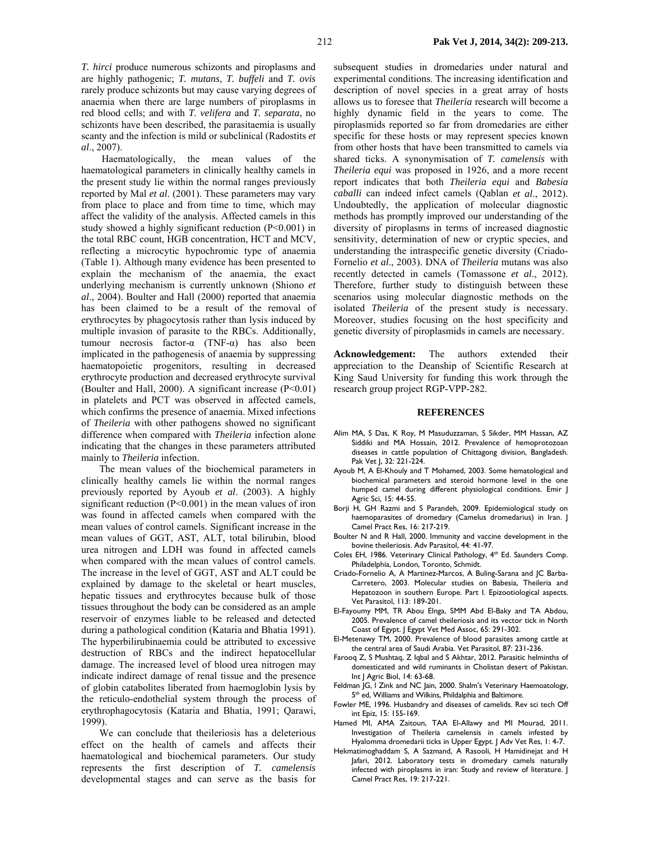*T. hirci* produce numerous schizonts and piroplasms and are highly pathogenic; *T. mutans*, *T. buffeli* and *T. ovis* rarely produce schizonts but may cause varying degrees of anaemia when there are large numbers of piroplasms in red blood cells; and with *T. velifera* and *T. separata*, no schizonts have been described, the parasitaemia is usually scanty and the infection is mild or subclinical (Radostits *et al*., 2007).

 Haematologically, the mean values of the haematological parameters in clinically healthy camels in the present study lie within the normal ranges previously reported by Mal *et al*. (2001). These parameters may vary from place to place and from time to time, which may affect the validity of the analysis. Affected camels in this study showed a highly significant reduction (P<0.001) in the total RBC count, HGB concentration, HCT and MCV, reflecting a microcytic hypochromic type of anaemia (Table 1). Although many evidence has been presented to explain the mechanism of the anaemia, the exact underlying mechanism is currently unknown (Shiono *et al*., 2004). Boulter and Hall (2000) reported that anaemia has been claimed to be a result of the removal of erythrocytes by phagocytosis rather than lysis induced by multiple invasion of parasite to the RBCs. Additionally, tumour necrosis factor-α (TNF-α) has also been implicated in the pathogenesis of anaemia by suppressing haematopoietic progenitors, resulting in decreased erythrocyte production and decreased erythrocyte survival (Boulter and Hall, 2000). A significant increase (P<0.01) in platelets and PCT was observed in affected camels, which confirms the presence of anaemia. Mixed infections of *Theileria* with other pathogens showed no significant difference when compared with *Theileria* infection alone indicating that the changes in these parameters attributed mainly to *Theileria* infection.

The mean values of the biochemical parameters in clinically healthy camels lie within the normal ranges previously reported by Ayoub *et al*. (2003). A highly significant reduction (P<0.001) in the mean values of iron was found in affected camels when compared with the mean values of control camels. Significant increase in the mean values of GGT, AST, ALT, total bilirubin, blood urea nitrogen and LDH was found in affected camels when compared with the mean values of control camels. The increase in the level of GGT, AST and ALT could be explained by damage to the skeletal or heart muscles, hepatic tissues and erythrocytes because bulk of those tissues throughout the body can be considered as an ample reservoir of enzymes liable to be released and detected during a pathological condition (Kataria and Bhatia 1991). The hyperbilirubinaemia could be attributed to excessive destruction of RBCs and the indirect hepatocellular damage. The increased level of blood urea nitrogen may indicate indirect damage of renal tissue and the presence of globin catabolites liberated from haemoglobin lysis by the reticulo-endothelial system through the process of erythrophagocytosis (Kataria and Bhatia, 1991; Qarawi, 1999).

We can conclude that theileriosis has a deleterious effect on the health of camels and affects their haematological and biochemical parameters. Our study represents the first description of *T. camelensis* developmental stages and can serve as the basis for

subsequent studies in dromedaries under natural and experimental conditions. The increasing identification and description of novel species in a great array of hosts allows us to foresee that *Theileria* research will become a highly dynamic field in the years to come. The piroplasmids reported so far from dromedaries are either specific for these hosts or may represent species known from other hosts that have been transmitted to camels via shared ticks. A synonymisation of *T. camelensis* with *Theileria equi* was proposed in 1926, and a more recent report indicates that both *Theileria equi* and *Babesia caballi* can indeed infect camels (Qablan *et al*., 2012). Undoubtedly, the application of molecular diagnostic methods has promptly improved our understanding of the diversity of piroplasms in terms of increased diagnostic sensitivity, determination of new or cryptic species, and understanding the intraspecific genetic diversity (Criado-Fornelio *et al*., 2003). DNA of *Theileria* mutans was also recently detected in camels (Tomassone *et al*., 2012). Therefore, further study to distinguish between these scenarios using molecular diagnostic methods on the isolated *Theileria* of the present study is necessary. Moreover, studies focusing on the host specificity and genetic diversity of piroplasmids in camels are necessary.

**Acknowledgement:** The authors extended their appreciation to the Deanship of Scientific Research at King Saud University for funding this work through the research group project RGP-VPP-282.

#### **REFERENCES**

- Alim MA, S Das, K Roy, M Masuduzzaman, S Sikder, MM Hassan, AZ Siddiki and MA Hossain, 2012. Prevalence of hemoprotozoan diseases in cattle population of Chittagong division, Bangladesh. Pak Vet J, 32: 221-224.
- Ayoub M, A El-Khouly and T Mohamed, 2003. Some hematological and biochemical parameters and steroid hormone level in the one humped camel during different physiological conditions. Emir J Agric Sci, 15: 44-55.
- Borji H, GH Razmi and S Parandeh, 2009. Epidemiological study on haemoparasites of dromedary (Camelus dromedarius) in Iran. J Camel Pract Res, 16: 217-219.
- Boulter N and R Hall, 2000. Immunity and vaccine development in the bovine theileriosis. Adv Parasitol, 44: 41-97.
- Coles EH, 1986. Veterinary Clinical Pathology, 4th Ed. Saunders Comp. Philadelphia, London, Toronto, Schmidt.
- Criado-Fornelio A, A Martinez-Marcos, A Buling-Sarana and JC Barba-Carretero, 2003. Molecular studies on Babesia, Theileria and Hepatozoon in southern Europe. Part I. Epizootiological aspects. Vet Parasitol, 113: 189-201.
- El-Fayoumy MM, TR Abou Elnga, SMM Abd El-Baky and TA Abdou, 2005. Prevalence of camel theileriosis and its vector tick in North Coast of Egypt. J Egypt Vet Med Assoc, 65: 291-302.
- El-Metenawy TM, 2000. Prevalence of blood parasites among cattle at the central area of Saudi Arabia. Vet Parasitol, 87: 231-236.
- Farooq Z, S Mushtaq, Z Iqbal and S Akhtar, 2012. Parasitic helminths of domesticated and wild ruminants in Cholistan desert of Pakistan. Int J Agric Biol, 14: 63-68.
- Feldman JG, I Zink and NC Jain, 2000. Shalm's Veterinary Haemoatology, 5<sup>th</sup> ed, Williams and Wilkins, Phildalphia and Baltimore.
- Fowler ME, 1996. Husbandry and diseases of camelids. Rev sci tech Off int Epiz, 15: 155-169.
- Hamed MI, AMA Zaitoun, TAA El-Allawy and MI Mourad, 2011. Investigation of Theileria camelensis in camels infested by Hyalomma dromedarii ticks in Upper Egypt. J Adv Vet Res, 1: 4-7.
- Hekmatimoghaddam S, A Sazmand, A Rasooli, H Hamidinejat and H Jafari, 2012. Laboratory tests in dromedary camels naturally infected with piroplasms in iran: Study and review of literature. J Camel Pract Res, 19: 217-221.